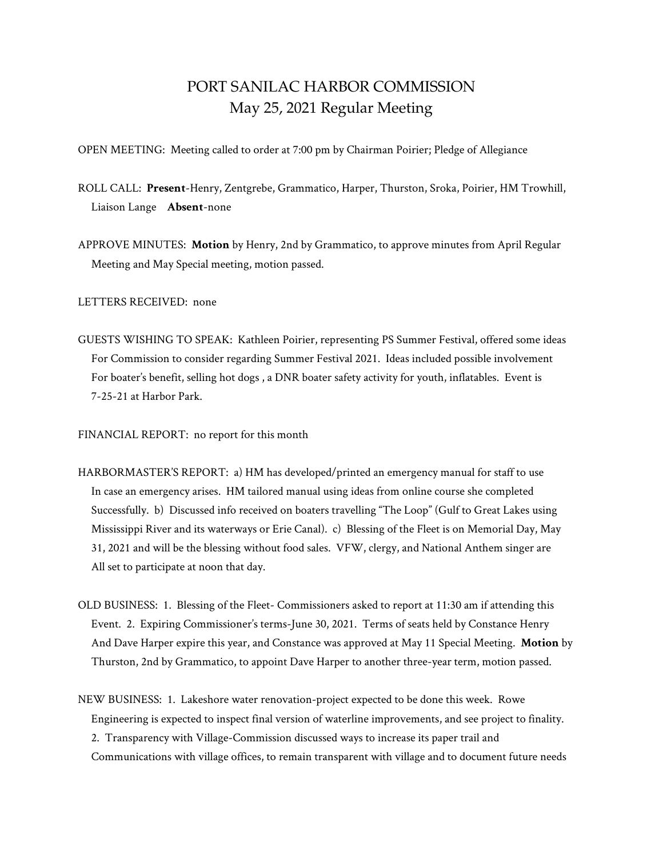## PORT SANILAC HARBOR COMMISSION May 25, 2021 Regular Meeting

OPEN MEETING: Meeting called to order at 7:00 pm by Chairman Poirier; Pledge of Allegiance

- ROLL CALL: **Present**-Henry, Zentgrebe, Grammatico, Harper, Thurston, Sroka, Poirier, HM Trowhill, Liaison Lange **Absent**-none
- APPROVE MINUTES: **Motion** by Henry, 2nd by Grammatico, to approve minutes from April Regular Meeting and May Special meeting, motion passed.

LETTERS RECEIVED: none

GUESTS WISHING TO SPEAK: Kathleen Poirier, representing PS Summer Festival, offered some ideas For Commission to consider regarding Summer Festival 2021. Ideas included possible involvement For boater's benefit, selling hot dogs , a DNR boater safety activity for youth, inflatables. Event is 7-25-21 at Harbor Park.

FINANCIAL REPORT: no report for this month

- HARBORMASTER'S REPORT: a) HM has developed/printed an emergency manual for staff to use In case an emergency arises. HM tailored manual using ideas from online course she completed Successfully. b) Discussed info received on boaters travelling "The Loop" (Gulf to Great Lakes using Mississippi River and its waterways or Erie Canal). c) Blessing of the Fleet is on Memorial Day, May 31, 2021 and will be the blessing without food sales. VFW, clergy, and National Anthem singer are All set to participate at noon that day.
- OLD BUSINESS: 1. Blessing of the Fleet- Commissioners asked to report at 11:30 am if attending this Event. 2. Expiring Commissioner's terms-June 30, 2021. Terms of seats held by Constance Henry And Dave Harper expire this year, and Constance was approved at May 11 Special Meeting. **Motion** by Thurston, 2nd by Grammatico, to appoint Dave Harper to another three-year term, motion passed.
- NEW BUSINESS: 1. Lakeshore water renovation-project expected to be done this week. Rowe Engineering is expected to inspect final version of waterline improvements, and see project to finality. 2. Transparency with Village-Commission discussed ways to increase its paper trail and Communications with village offices, to remain transparent with village and to document future needs